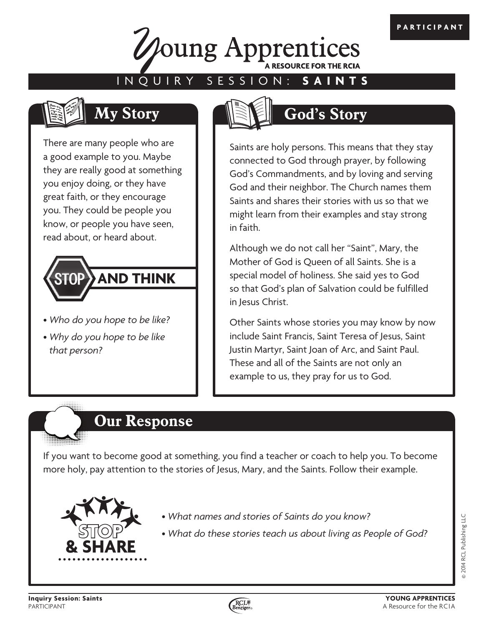

### INQUIRY SESSION: **SAINTS**



There are many people who are a good example to you. Maybe they are really good at something you enjoy doing, or they have great faith, or they encourage you. They could be people you know, or people you have seen, read about, or heard about.



- *Who do you hope to be like?*
- *Why do you hope to be like that person?*



# **My Story God's Story**

Saints are holy persons. This means that they stay connected to God through prayer, by following God's Commandments, and by loving and serving God and their neighbor. The Church names them Saints and shares their stories with us so that we might learn from their examples and stay strong in faith.

Although we do not call her "Saint", Mary, the Mother of God is Queen of all Saints. She is a special model of holiness. She said yes to God so that God's plan of Salvation could be fulfilled in Jesus Christ.

Other Saints whose stories you may know by now include Saint Francis, Saint Teresa of Jesus, Saint Justin Martyr, Saint Joan of Arc, and Saint Paul. These and all of the Saints are not only an example to us, they pray for us to God.

## **Our Response**

If you want to become good at something, you find a teacher or coach to help you. To become more holy, pay attention to the stories of Jesus, Mary, and the Saints. Follow their example.



- *What names and stories of Saints do you know?*
- *What do these stories teach us about living as People of God?*